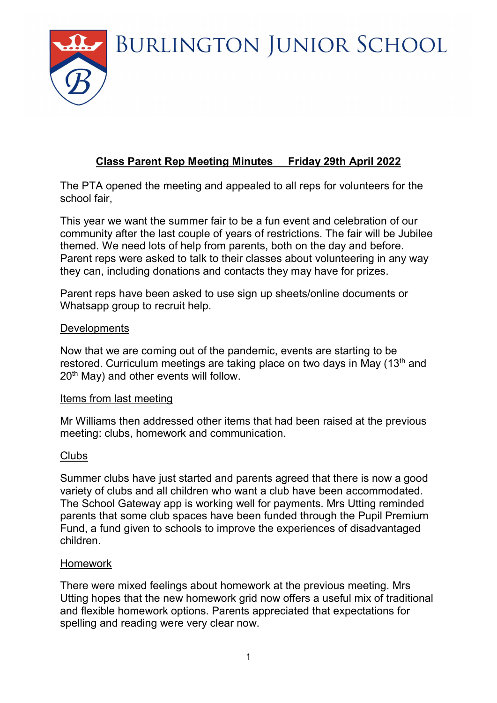**BURLINGTON JUNIOR SCHOOL** 



# Class Parent Rep Meeting Minutes Friday 29th April 2022

The PTA opened the meeting and appealed to all reps for volunteers for the school fair,

This year we want the summer fair to be a fun event and celebration of our community after the last couple of years of restrictions. The fair will be Jubilee themed. We need lots of help from parents, both on the day and before. Parent reps were asked to talk to their classes about volunteering in any way they can, including donations and contacts they may have for prizes.

Parent reps have been asked to use sign up sheets/online documents or Whatsapp group to recruit help.

#### **Developments**

Now that we are coming out of the pandemic, events are starting to be restored. Curriculum meetings are taking place on two days in May (13<sup>th</sup> and 20<sup>th</sup> May) and other events will follow.

#### Items from last meeting

Mr Williams then addressed other items that had been raised at the previous meeting: clubs, homework and communication.

#### **Clubs**

Summer clubs have just started and parents agreed that there is now a good variety of clubs and all children who want a club have been accommodated. The School Gateway app is working well for payments. Mrs Utting reminded parents that some club spaces have been funded through the Pupil Premium Fund, a fund given to schools to improve the experiences of disadvantaged children.

#### Homework

There were mixed feelings about homework at the previous meeting. Mrs Utting hopes that the new homework grid now offers a useful mix of traditional and flexible homework options. Parents appreciated that expectations for spelling and reading were very clear now.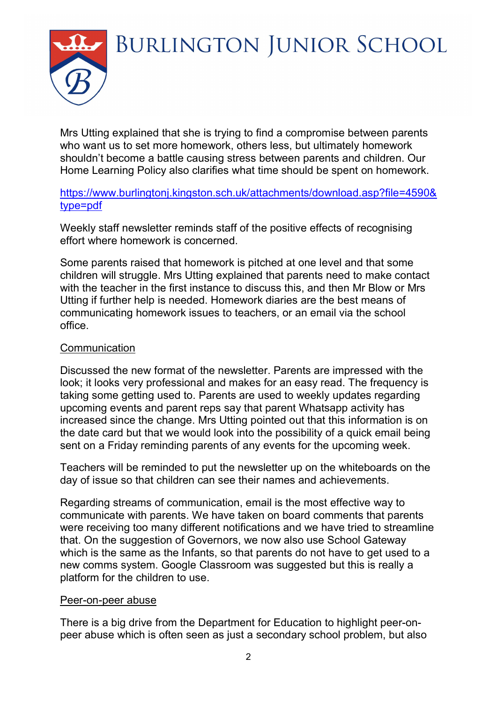**BURLINGTON JUNIOR SCHOOL** 

Mrs Utting explained that she is trying to find a compromise between parents who want us to set more homework, others less, but ultimately homework shouldn't become a battle causing stress between parents and children. Our Home Learning Policy also clarifies what time should be spent on homework.

### https://www.burlingtonj.kingston.sch.uk/attachments/download.asp?file=4590& type=pdf

Weekly staff newsletter reminds staff of the positive effects of recognising effort where homework is concerned.

Some parents raised that homework is pitched at one level and that some children will struggle. Mrs Utting explained that parents need to make contact with the teacher in the first instance to discuss this, and then Mr Blow or Mrs Utting if further help is needed. Homework diaries are the best means of communicating homework issues to teachers, or an email via the school office.

## **Communication**

Discussed the new format of the newsletter. Parents are impressed with the look; it looks very professional and makes for an easy read. The frequency is taking some getting used to. Parents are used to weekly updates regarding upcoming events and parent reps say that parent Whatsapp activity has increased since the change. Mrs Utting pointed out that this information is on the date card but that we would look into the possibility of a quick email being sent on a Friday reminding parents of any events for the upcoming week.

Teachers will be reminded to put the newsletter up on the whiteboards on the day of issue so that children can see their names and achievements.

Regarding streams of communication, email is the most effective way to communicate with parents. We have taken on board comments that parents were receiving too many different notifications and we have tried to streamline that. On the suggestion of Governors, we now also use School Gateway which is the same as the Infants, so that parents do not have to get used to a new comms system. Google Classroom was suggested but this is really a platform for the children to use.

#### Peer-on-peer abuse

There is a big drive from the Department for Education to highlight peer-onpeer abuse which is often seen as just a secondary school problem, but also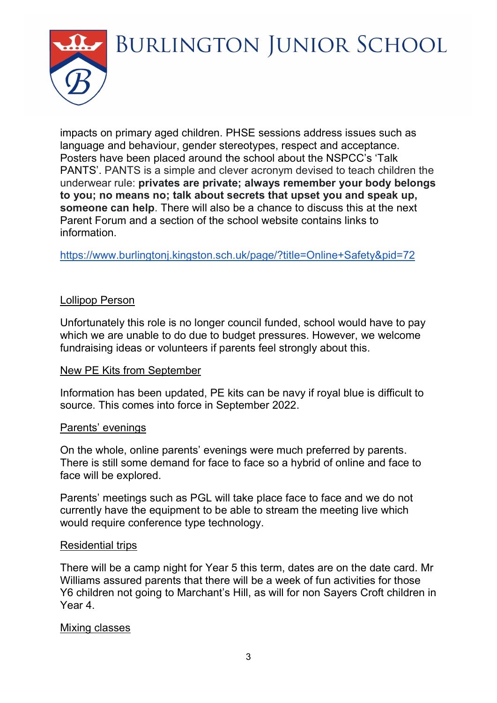

impacts on primary aged children. PHSE sessions address issues such as language and behaviour, gender stereotypes, respect and acceptance. Posters have been placed around the school about the NSPCC's 'Talk PANTS'. PANTS is a simple and clever acronym devised to teach children the underwear rule: privates are private; always remember your body belongs to you; no means no; talk about secrets that upset you and speak up, someone can help. There will also be a chance to discuss this at the next Parent Forum and a section of the school website contains links to information.

https://www.burlingtonj.kingston.sch.uk/page/?title=Online+Safety&pid=72

#### Lollipop Person

Unfortunately this role is no longer council funded, school would have to pay which we are unable to do due to budget pressures. However, we welcome fundraising ideas or volunteers if parents feel strongly about this.

#### New PE Kits from September

Information has been updated, PE kits can be navy if royal blue is difficult to source. This comes into force in September 2022.

#### Parents' evenings

On the whole, online parents' evenings were much preferred by parents. There is still some demand for face to face so a hybrid of online and face to face will be explored.

Parents' meetings such as PGL will take place face to face and we do not currently have the equipment to be able to stream the meeting live which would require conference type technology.

#### Residential trips

There will be a camp night for Year 5 this term, dates are on the date card. Mr Williams assured parents that there will be a week of fun activities for those Y6 children not going to Marchant's Hill, as will for non Sayers Croft children in Year 4.

#### Mixing classes